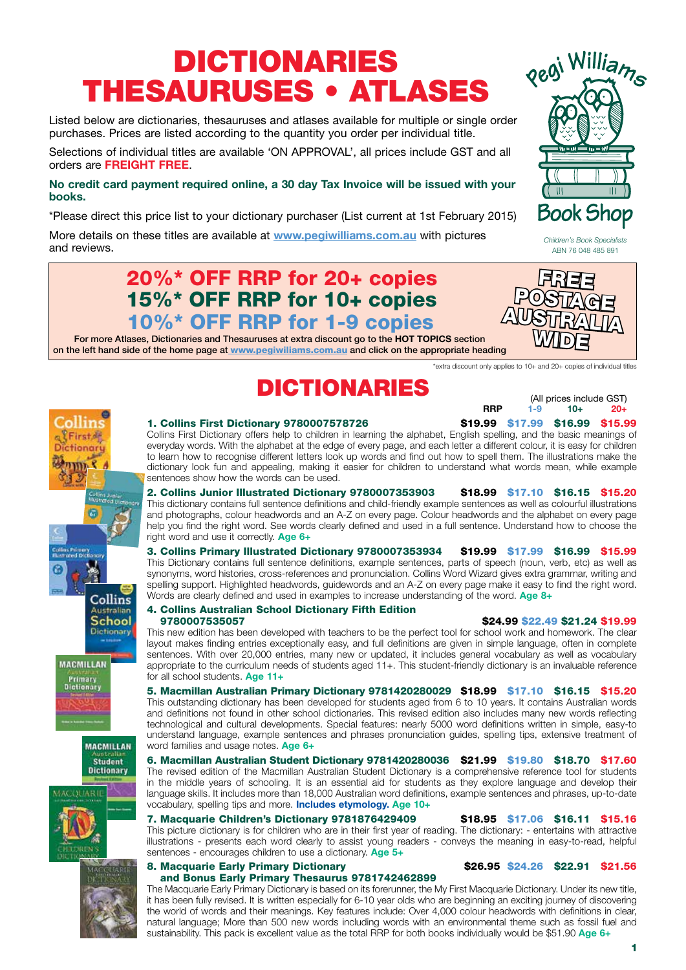## DICTIONARIES THESAURUSES • ATLASES

Listed below are dictionaries, thesauruses and atlases available for multiple or single order purchases. Prices are listed according to the quantity you order per individual title.

Selections of individual titles are available 'ON APPROVAL', all prices include GST and all orders are **FREIGHT FREE**.

#### **No credit card payment required online, a 30 day Tax Invoice will be issued with your books.**

\*Please direct this price list to your dictionary purchaser (List current at 1st February 2015)

More details on these titles are available at **www.pegiwilliams.com.au** with pictures and reviews.

### 20%\* OFF RRP for 20+ copies 15%\* OFF RRP for 10+ copies 10%\* OFF RRP for 1-9 copies

For more Atlases, Dictionaries and Thesauruses at extra discount go to the **HOT TOPICS** section on the left hand side of the home page at www.pegiwiliams.com.au and click on the appropriate heading

\*extra discount only applies to 10+ and 20+ copies of individual titles

## $\text{DICTIONARIES}$ (All prices include GST)

**RRP 1-9 10+ 20+** 

1. Collins First Dictionary 9780007578726  $\qquad \qquad$  \$19.99 \$17.99 \$16.99 \$15.99

## everyday words. With the alphabet at the edge of every page, and each letter a different colour, it is easy for children to learn how to recognise different letters look up words and find out how to spell them. The illustrations make the dictionary look fun and appealing, making it easier for children to understand what words mean, while example Collins istralian School ictionary **MACMILLAN**







# for all school students. **Age 11+**

word families and usage notes. **Age 6+** 6. Macmillan Australian Student Dictionary 9781420280036 \$21.99 \$19.80 \$18.70 \$17.60 The revised edition of the Macmillan Australian Student Dictionary is a comprehensive reference tool for students in the middle years of schooling. It is an essential aid for students as they explore language and develop their language skills. It includes more than 18,000 Australian word definitions, example sentences and phrases, up-to-date

vocabulary, spelling tips and more. **Includes etymology. Age 10+** 7. Macquarie Children's Dictionary 9781876429409 \$18.95 \$17.06 \$16.11 \$15.16

This picture dictionary is for children who are in their first year of reading. The dictionary: - entertains with attractive illustrations - presents each word clearly to assist young readers - conveys the meaning in easy-to-read, helpful sentences - encourages children to use a dictionary. **Age 5+**

#### 8. Macquarie Early Primary Dictionary \$26.95 \$24.26 \$22.91 \$21.56 and Bonus Early Primary Thesaurus 9781742462899

The Macquarie Early Primary Dictionary is based on its forerunner, the My First Macquarie Dictionary. Under its new title, it has been fully revised. It is written especially for 6-10 year olds who are beginning an exciting journey of discovering the world of words and their meanings. Key features include: Over 4,000 colour headwords with definitions in clear, natural language; More than 500 new words including words with an environmental theme such as fossil fuel and sustainability. This pack is excellent value as the total RRP for both books individually would be \$51.90 **Age 6+**



Pegi Williams

**Book Shop** 

 $\overline{\mathbb{H}}$ 

sentences show how the words can be used.

2. Collins Junior Illustrated Dictionary 9780007353903 \$18.99 \$17.10 \$16.15 \$15.20 This dictionary contains full sentence definitions and child-friendly example sentences as well as colourful illustrations and photographs, colour headwords and an A-Z on every page. Colour headwords and the alphabet on every page help you find the right word. See words clearly defined and used in a full sentence. Understand how to choose the right word and use it correctly. **Age 6+**

Collins First Dictionary offers help to children in learning the alphabet, English spelling, and the basic meanings of

3. Collins Primary Illustrated Dictionary 9780007353934 \$19.99 \$17.99 \$16.99 \$15.99 This Dictionary contains full sentence definitions, example sentences, parts of speech (noun, verb, etc) as well as synonyms, word histories, cross-references and pronunciation. Collins Word Wizard gives extra grammar, writing and spelling support. Highlighted headwords, guidewords and an A-Z on every page make it easy to find the right word. Words are clearly defined and used in examples to increase understanding of the word. **Age 8+**

#### 4. Collins Australian School Dictionary Fifth Edition 9780007535057 \$24.99 \$22.49 \$21.24 \$19.99

This new edition has been developed with teachers to be the perfect tool for school work and homework. The clear layout makes finding entries exceptionally easy, and full definitions are given in simple language, often in complete sentences. With over 20,000 entries, many new or updated, it includes general vocabulary as well as vocabulary appropriate to the curriculum needs of students aged 11+. This student-friendly dictionary is an invaluable reference

5. Macmillan Australian Primary Dictionary 9781420280029 \$18.99 \$17.10 \$16.15 \$15.20 This outstanding dictionary has been developed for students aged from 6 to 10 years. It contains Australian words and definitions not found in other school dictionaries. This revised edition also includes many new words reflecting technological and cultural developments. Special features: nearly 5000 word definitions written in simple, easy-to understand language, example sentences and phrases pronunciation guides, spelling tips, extensive treatment of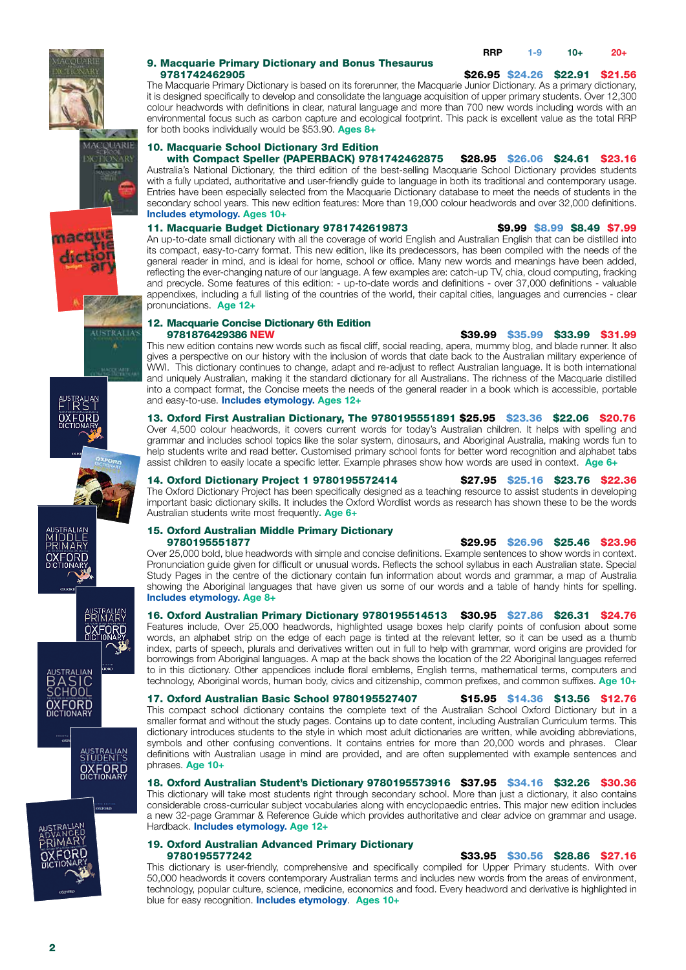

# 9. Macquarie Primary Dictionary and Bonus Thesaurus

#### 9781742462905 \$26.95 \$24.26 \$22.91 \$21.56

The Macquarie Primary Dictionary is based on its forerunner, the Macquarie Junior Dictionary. As a primary dictionary, it is designed specifically to develop and consolidate the language acquisition of upper primary students. Over 12,300 colour headwords with definitions in clear, natural language and more than 700 new words including words with an environmental focus such as carbon capture and ecological footprint. This pack is excellent value as the total RRP for both books individually would be \$53.90. **Ages 8+**

#### 10. Macquarie School Dictionary 3rd Edition

with Compact Speller (PAPERBACK) 9781742462875 \$28.95 \$26.06 \$24.61 \$23.16 Australia's National Dictionary, the third edition of the best-selling Macquarie School Dictionary provides students with a fully updated, authoritative and user-friendly guide to language in both its traditional and contemporary usage. Entries have been especially selected from the Macquarie Dictionary database to meet the needs of students in the secondary school years. This new edition features: More than 19,000 colour headwords and over 32,000 definitions. **Includes etymology. Ages 10+**

#### 11. Macquarie Budget Dictionary 9781742619873 \$9.99 \$8.99 \$8.49 \$7.99

An up-to-date small dictionary with all the coverage of world English and Australian English that can be distilled into its compact, easy-to-carry format. This new edition, like its predecessors, has been compiled with the needs of the general reader in mind, and is ideal for home, school or office. Many new words and meanings have been added, reflecting the ever-changing nature of our language. A few examples are: catch-up TV, chia, cloud computing, fracking and precycle. Some features of this edition: - up-to-date words and definitions - over 37,000 definitions - valuable appendixes, including a full listing of the countries of the world, their capital cities, languages and currencies - clear pronunciations. **Age 12+**

## 12. Macquarie Concise Dictionary 6th Edition<br>9781876429386 NEW

\$39.99 \$35.99 \$33.99 \$31.99 This new edition contains new words such as fiscal cliff, social reading, apera, mummy blog, and blade runner. It also gives a perspective on our history with the inclusion of words that date back to the Australian military experience of WWI. This dictionary continues to change, adapt and re-adjust to reflect Australian language. It is both international and uniquely Australian, making it the standard dictionary for all Australians. The richness of the Macquarie distilled into a compact format, the Concise meets the needs of the general reader in a book which is accessible, portable and easy-to-use. **Includes etymology. Ages 12+**

#### 13. Oxford First Australian Dictionary, The 9780195551891 \$25.95 \$23.36 \$22.06 \$20.76 Over 4,500 colour headwords, it covers current words for today's Australian children. It helps with spelling and grammar and includes school topics like the solar system, dinosaurs, and Aboriginal Australia, making words fun to help students write and read better. Customised primary school fonts for better word recognition and alphabet tabs assist children to easily locate a specific letter. Example phrases show how words are used in context. **Age 6+**

14. Oxford Dictionary Project 1 9780195572414 \$27.95 \$25.16 \$23.76 \$22.36 The Oxford Dictionary Project has been specifically designed as a teaching resource to assist students in developing important basic dictionary skills. It includes the Oxford Wordlist words as research has shown these to be the words Australian students write most frequently**. Age 6+**

## 15. Oxford Australian Middle Primary Dictionary

#### \$29.95 \$26.96 \$25.46 \$23.96

Over 25,000 bold, blue headwords with simple and concise definitions. Example sentences to show words in context. Pronunciation guide given for difficult or unusual words. Reflects the school syllabus in each Australian state. Special Study Pages in the centre of the dictionary contain fun information about words and grammar, a map of Australia showing the Aboriginal languages that have given us some of our words and a table of handy hints for spelling. **Includes etymology. Age 8+** 

16. Oxford Australian Primary Dictionary 9780195514513 \$30.95 \$27.86 \$26.31 \$24.76 Features include, Over 25,000 headwords, highlighted usage boxes help clarify points of confusion about some words, an alphabet strip on the edge of each page is tinted at the relevant letter, so it can be used as a thumb index, parts of speech, plurals and derivatives written out in full to help with grammar, word origins are provided for borrowings from Aboriginal languages. A map at the back shows the location of the 22 Aboriginal languages referred to in this dictionary. Other appendices include floral emblems, English terms, mathematical terms, computers and technology, Aboriginal words, human body, civics and citizenship, common prefixes, and common suffixes. **Age 10+**

17. Oxford Australian Basic School 9780195527407 \$15.95 \$14.36 \$13.56 \$12.76 This compact school dictionary contains the complete text of the Australian School Oxford Dictionary but in a smaller format and without the study pages. Contains up to date content, including Australian Curriculum terms. This dictionary introduces students to the style in which most adult dictionaries are written, while avoiding abbreviations, symbols and other confusing conventions. It contains entries for more than 20,000 words and phrases. Clear definitions with Australian usage in mind are provided, and are often supplemented with example sentences and phrases. **Age 10+**

18. Oxford Australian Student's Dictionary 9780195573916 \$37.95 \$34.16 \$32.26 \$30.36 This dictionary will take most students right through secondary school. More than just a dictionary, it also contains considerable cross-curricular subject vocabularies along with encyclopaedic entries. This major new edition includes a new 32-page Grammar & Reference Guide which provides authoritative and clear advice on grammar and usage. Hardback. **Includes etymology. Age 12+**

### 19. Oxford Australian Advanced Primary Dictionary

\$33.95 \$30.56 \$28.86 \$27.16 This dictionary is user-friendly, comprehensive and specifically compiled for Upper Primary students. With over 50,000 headwords it covers contemporary Australian terms and includes new words from the areas of environment, technology, popular culture, science, medicine, economics and food. Every headword and derivative is highlighted in blue for easy recognition. **Includes etymology**. **Ages 10+**







ustralian<br>- I R S T **OXFORD** 









**OXFORD**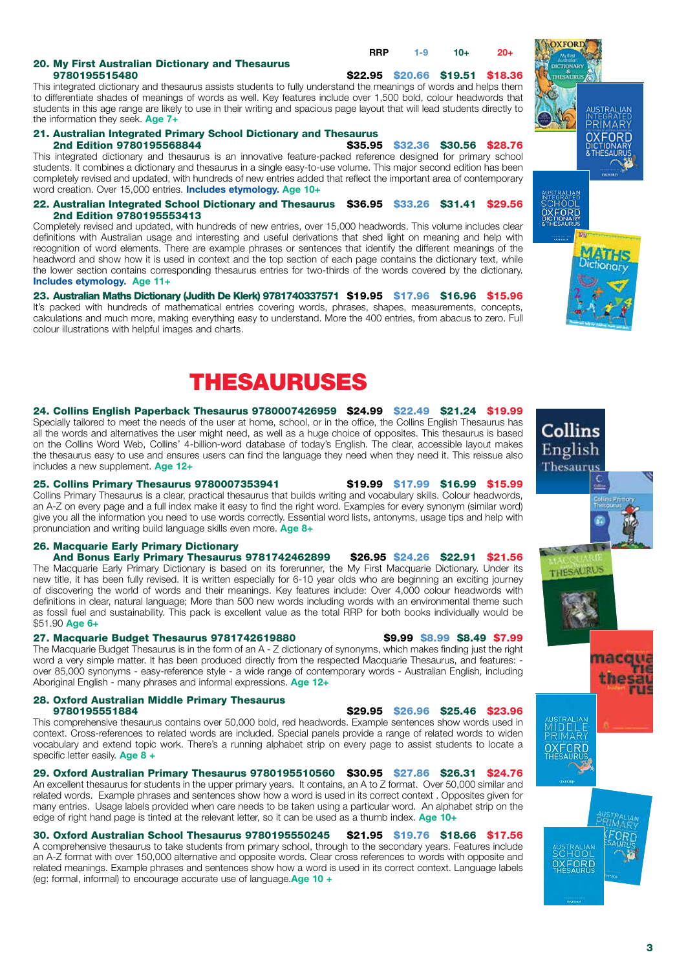## 20. My First Australian Dictionary and Thesaurus

**RRP 1-9 10+ 20+** 

\$22.95 \$20.66 \$19.51 \$18.36 This integrated dictionary and thesaurus assists students to fully understand the meanings of words and helps them to differentiate shades of meanings of words as well. Key features include over 1,500 bold, colour headwords that students in this age range are likely to use in their writing and spacious page layout that will lead students directly to the information they seek. **Age 7+**

## 21. Australian Integrated Primary School Dictionary and Thesaurus

\$35.95 \$32.36 \$30.56 \$28.76 This integrated dictionary and thesaurus is an innovative feature-packed reference designed for primary school students. It combines a dictionary and thesaurus in a single easy-to-use volume. This major second edition has been completely revised and updated, with hundreds of new entries added that reflect the important area of contemporary word creation. Over 15,000 entries. **Includes etymology. Age 10+**

22. Australian Integrated School Dictionary and Thesaurus \$36.95 \$33.26 \$31.41 \$29.56 2nd Edition 9780195553413

Completely revised and updated, with hundreds of new entries, over 15,000 headwords. This volume includes clear definitions with Australian usage and interesting and useful derivations that shed light on meaning and help with recognition of word elements. There are example phrases or sentences that identify the different meanings of the headword and show how it is used in context and the top section of each page contains the dictionary text, while the lower section contains corresponding thesaurus entries for two-thirds of the words covered by the dictionary. **Includes etymology. Age 11+**

23. Australian Maths Dictionary (Judith De Klerk) 9781740337571 \$19.95 \$17.96 \$16.96 \$15.96 It's packed with hundreds of mathematical entries covering words, phrases, shapes, measurements, concepts, calculations and much more, making everything easy to understand. More the 400 entries, from abacus to zero. Full colour illustrations with helpful images and charts.





#### 24. Collins English Paperback Thesaurus 9780007426959 \$24.99 \$22.49 \$21.24 \$19.99

Specially tailored to meet the needs of the user at home, school, or in the office, the Collins English Thesaurus has all the words and alternatives the user might need, as well as a huge choice of opposites. This thesaurus is based on the Collins Word Web, Collins' 4-billion-word database of today's English. The clear, accessible layout makes the thesaurus easy to use and ensures users can find the language they need when they need it. This reissue also includes a new supplement. **Age 12+**

#### 25. Collins Primary Thesaurus 9780007353941 \$19.99 \$17.99 \$16.99 \$15.99

Collins Primary Thesaurus is a clear, practical thesaurus that builds writing and vocabulary skills. Colour headwords, an A-Z on every page and a full index make it easy to find the right word. Examples for every synonym (similar word) give you all the information you need to use words correctly. Essential word lists, antonyms, usage tips and help with pronunciation and writing build language skills even more. **Age 8+**

#### 26. Macquarie Early Primary Dictionary

And Bonus Early Primary Thesaurus 9781742462899 \$26.95 \$24.26 \$22.91 \$21.56 The Macquarie Early Primary Dictionary is based on its forerunner, the My First Macquarie Dictionary. Under its new title, it has been fully revised. It is written especially for 6-10 year olds who are beginning an exciting journey of discovering the world of words and their meanings. Key features include: Over 4,000 colour headwords with definitions in clear, natural language; More than 500 new words including words with an environmental theme such as fossil fuel and sustainability. This pack is excellent value as the total RRP for both books individually would be \$51.90 **Age 6+**

#### 27. Macquarie Budget Thesaurus 9781742619880 \$9.99 \$8.99 \$8.49 \$7.99

The Macquarie Budget Thesaurus is in the form of an A - Z dictionary of synonyms, which makes finding just the right word a very simple matter. It has been produced directly from the respected Macquarie Thesaurus, and features: over 85,000 synonyms - easy-reference style - a wide range of contemporary words - Australian English, including Aboriginal English - many phrases and informal expressions. **Age 12+**

## 28. Oxford Australian Middle Primary Thesaurus

\$29.95 \$26.96 \$25.46 \$23.96

This comprehensive thesaurus contains over 50,000 bold, red headwords. Example sentences show words used in context. Cross-references to related words are included. Special panels provide a range of related words to widen vocabulary and extend topic work. There's a running alphabet strip on every page to assist students to locate a specific letter easily. **Age 8 +**

#### 29. Oxford Australian Primary Thesaurus 9780195510560 \$30.95 \$27.86 \$26.31 \$24.76

An excellent thesaurus for students in the upper primary years. It contains, an A to Z format. Over 50,000 similar and related words. Example phrases and sentences show how a word is used in its correct context . Opposites given for many entries. Usage labels provided when care needs to be taken using a particular word. An alphabet strip on the edge of right hand page is tinted at the relevant letter, so it can be used as a thumb index. **Age 10+**

30. Oxford Australian School Thesaurus 9780195550245 \$21.95 \$19.76 \$18.66 \$17.56

A comprehensive thesaurus to take students from primary school, through to the secondary years. Features include an A-Z format with over 150,000 alternative and opposite words. Clear cross references to words with opposite and related meanings. Example phrases and sentences show how a word is used in its correct context. Language labels (eg: formal, informal) to encourage accurate use of language.**Age 10 +**